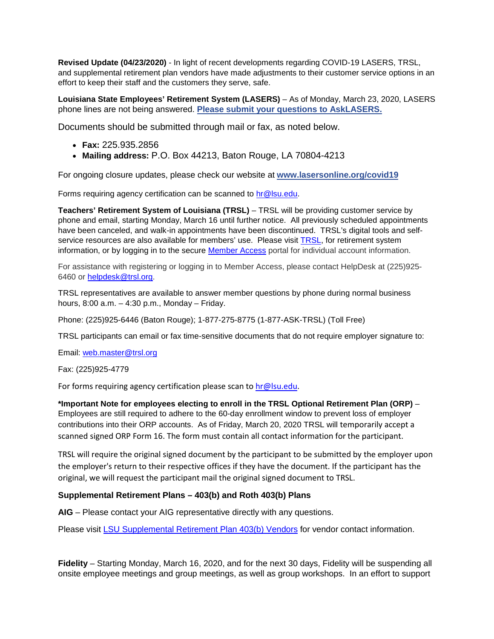**Revised Update (04/23/2020)** - In light of recent developments regarding COVID-19 LASERS, TRSL, and supplemental retirement plan vendors have made adjustments to their customer service options in an effort to keep their staff and the customers they serve, safe.

**Louisiana State Employees' Retirement System (LASERS)** – As of Monday, March 23, 2020, LASERS phone lines are not being answered. **[Please submit your questions to AskLASERS.](https://nam04.safelinks.protection.outlook.com/?url=http%3A%2F%2Fr20.rs6.net%2Ftn.jsp%3Ff%3D001FRl_1_HRNxRpGQ9Ntg7LhAq2u7tFn5MjnxPsJJ4zI_hzTmW9du0R2bnWitpKVpBvHevoqL7Hn9Y9lIIsTQ06oLkTO2knnGQv_5XEpIFlPxsXwcJMgCgNhNUEK4ein86cykzXFJ2urVkaStXjhOq51XGbcDEIe8bilhvzvS6pMPQ%3D%26c%3DSHU4JXLdPmHl9LGRiCBvLAqWcGMugegS5qcpmkVv88LORF96rsxitQ%3D%3D%26ch%3DPRg3qodB3inNUaSaEclGxTLDn8bs4Urec3MTlyo9b9kxvAKTqksoOw%3D%3D&data=02%7C01%7Cbdoyle%40lsu.edu%7Cbeee1a5020464ccc5a9908d7cea69cc4%7C2d4dad3f50ae47d983a09ae2b1f466f8%7C0%7C0%7C637205087305362764&sdata=B2dGJ5o1glwipv1gcdoRuUVDk20z9NWDsY29YuWA69A%3D&reserved=0)**

Documents should be submitted through mail or fax, as noted below.

- **Fax:** 225.935.2856
- **Mailing address:** P.O. Box 44213, Baton Rouge, LA 70804-4213

For ongoing closure updates, please check our website at **[www.lasersonline.org/covid19](https://nam04.safelinks.protection.outlook.com/?url=http%3A%2F%2Fr20.rs6.net%2Ftn.jsp%3Ff%3D001FRl_1_HRNxRpGQ9Ntg7LhAq2u7tFn5MjnxPsJJ4zI_hzTmW9du0R2UjoCBfM9iSrCe1ar__6QVNPDFYdli7ovvNia5b-b3Ba81f9pg9ktraNuWbdxUIyLm-nHbtsOzLy93zdHxq1HQA-ZrvRxqfdQDyjzXYX1B-2%26c%3DSHU4JXLdPmHl9LGRiCBvLAqWcGMugegS5qcpmkVv88LORF96rsxitQ%3D%3D%26ch%3DPRg3qodB3inNUaSaEclGxTLDn8bs4Urec3MTlyo9b9kxvAKTqksoOw%3D%3D&data=02%7C01%7Cbdoyle%40lsu.edu%7Cbeee1a5020464ccc5a9908d7cea69cc4%7C2d4dad3f50ae47d983a09ae2b1f466f8%7C0%7C0%7C637205087305362764&sdata=SqIvHI8A7YEkBCRpBWhZ50woalsDF0PNBVcyiM87f9E%3D&reserved=0)**

Forms requiring agency certification can be scanned to [hr@lsu.edu.](mailto:hr@lsu.edu)

**Teachers' Retirement System of Louisiana (TRSL)** – TRSL will be providing customer service by phone and email, starting Monday, March 16 until further notice. All previously scheduled appointments have been canceled, and walk-in appointments have been discontinued. TRSL's digital tools and self-service resources are also available for members' use. Please visit [TRSL,](http://www.trsl.org/) for retirement system information, or by logging in to the secure [Member Access](https://nam04.safelinks.protection.outlook.com/?url=https%3A%2F%2Ft.e2ma.net%2Fclick%2Fh87nmd%2Fxcifvh%2F5qqpiq&data=02%7C01%7Cbdoyle%40lsu.edu%7C3d94473bfdb9448f553308d7c6b1b79d%7C2d4dad3f50ae47d983a09ae2b1f466f8%7C0%7C0%7C637196338896888115&sdata=%2Fp4wtR44z%2B9j%2F8jpI9LmXZ2b5mN2b5JynU1lPx3aoYU%3D&reserved=0) portal for individual account information.

For assistance with registering or logging in to Member Access, please contact HelpDesk at (225)925- 6460 or [helpdesk@trsl.org.](mailto:helpdesk@trsl.org)

TRSL representatives are available to answer member questions by phone during normal business hours, 8:00 a.m. – 4:30 p.m., Monday – Friday.

Phone: (225)925-6446 (Baton Rouge); 1-877-275-8775 (1-877-ASK-TRSL) (Toll Free)

TRSL participants can email or fax time-sensitive documents that do not require employer signature to:

Email: [web.master@trsl.org](mailto:web.master@trsl.org)

Fax: (225)925-4779

For forms requiring agency certification please scan to [hr@lsu.edu.](mailto:hr@lsu.edu)

**\*Important Note for employees electing to enroll in the TRSL Optional Retirement Plan (ORP)** – Employees are still required to adhere to the 60-day enrollment window to prevent loss of employer contributions into their ORP accounts. As of Friday, March 20, 2020 TRSL will temporarily accept a scanned signed ORP Form 16. The form must contain all contact information for the participant.

TRSL will require the original signed document by the participant to be submitted by the employer upon the employer's return to their respective offices if they have the document. If the participant has the original, we will request the participant mail the original signed document to TRSL.

## **Supplemental Retirement Plans – 403(b) and Roth 403(b) Plans**

**AIG** – Please contact your AIG representative directly with any questions.

Please visit [LSU Supplemental Retirement Plan 403\(b\) Vendors](https://www.lsu.edu/hrm/employees/benefits/supplemental_retirement/Vendors_item75846.php) for vendor contact information.

**Fidelity** – Starting Monday, March 16, 2020, and for the next 30 days, Fidelity will be suspending all onsite employee meetings and group meetings, as well as group workshops. In an effort to support